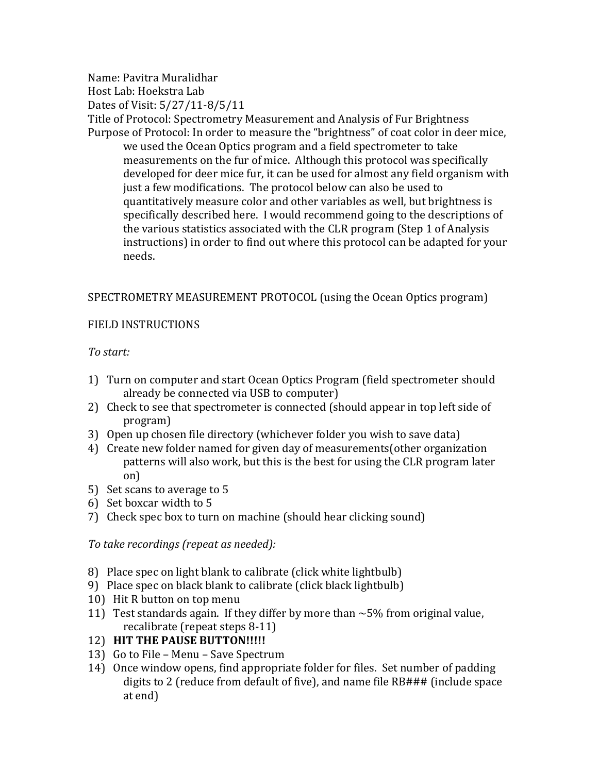Name: Pavitra Muralidhar Host Lab: Hoekstra Lab Dates of Visit: 5/27/11-8/5/11 Title of Protocol: Spectrometry Measurement and Analysis of Fur Brightness Purpose of Protocol: In order to measure the "brightness" of coat color in deer mice, we used the Ocean Optics program and a field spectrometer to take measurements on the fur of mice. Although this protocol was specifically developed for deer mice fur, it can be used for almost any field organism with just a few modifications. The protocol below can also be used to quantitatively measure color and other variables as well, but brightness is specifically described here. I would recommend going to the descriptions of the various statistics associated with the CLR program (Step 1 of Analysis) instructions) in order to find out where this protocol can be adapted for your needs.

## SPECTROMETRY MEASUREMENT PROTOCOL (using the Ocean Optics program)

## FIELD INSTRUCTIONS

# $To start:$

- 1) Turn on computer and start Ocean Optics Program (field spectrometer should already be connected via USB to computer)
- 2) Check to see that spectrometer is connected (should appear in top left side of program)
- 3) Open up chosen file directory (whichever folder you wish to save data)
- 4) Create new folder named for given day of measurements(other organization patterns will also work, but this is the best for using the CLR program later on)
- 5) Set scans to average to 5
- 6) Set boxcar width to 5
- 7) Check spec box to turn on machine (should hear clicking sound)

*To take recordings (repeat as needed):* 

- 8) Place spec on light blank to calibrate (click white lightbulb)
- 9) Place spec on black blank to calibrate (click black lightbulb)
- 10) Hit R button on top menu
- 11) Test standards again. If they differ by more than  $\sim$  5% from original value, recalibrate (repeat steps 8-11)
- 12) HIT THE PAUSE BUTTON!!!!!
- 13) Go to File Menu Save Spectrum
- 14) Once window opens, find appropriate folder for files. Set number of padding digits to 2 (reduce from default of five), and name file RB### (include space at end)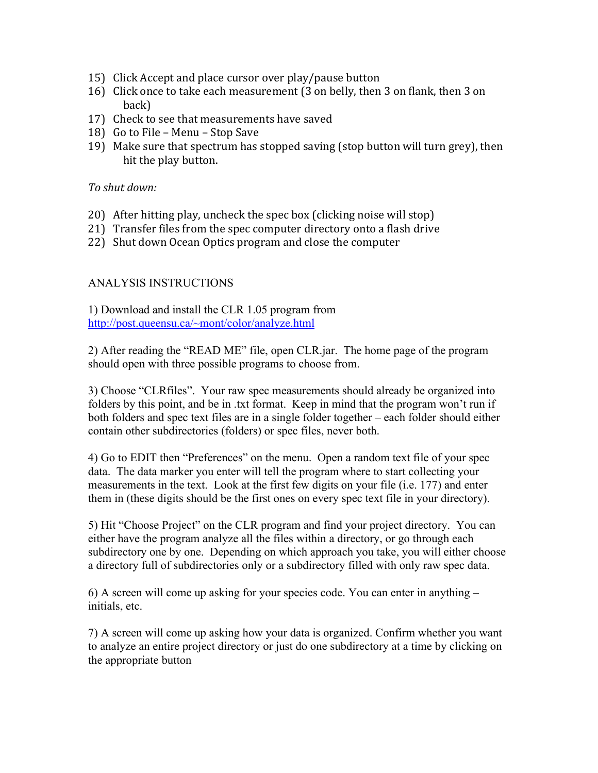- 15) Click Accept and place cursor over play/pause button
- 16) Click once to take each measurement (3 on belly, then 3 on flank, then 3 on back)
- 17) Check to see that measurements have saved
- 18) Go to File Menu Stop Save
- 19) Make sure that spectrum has stopped saving (stop button will turn grey), then hit the play button.

#### $To$  shut down:

- 20) After hitting play, uncheck the spec box (clicking noise will stop)
- 21) Transfer files from the spec computer directory onto a flash drive
- 22) Shut down Ocean Optics program and close the computer

### ANALYSIS INSTRUCTIONS

1) Download and install the CLR 1.05 program from http://post.queensu.ca/~mont/color/analyze.html

2) After reading the "READ ME" file, open CLR.jar. The home page of the program should open with three possible programs to choose from.

3) Choose "CLRfiles". Your raw spec measurements should already be organized into folders by this point, and be in .txt format. Keep in mind that the program won't run if both folders and spec text files are in a single folder together – each folder should either contain other subdirectories (folders) or spec files, never both.

4) Go to EDIT then "Preferences" on the menu. Open a random text file of your spec data. The data marker you enter will tell the program where to start collecting your measurements in the text. Look at the first few digits on your file (i.e. 177) and enter them in (these digits should be the first ones on every spec text file in your directory).

5) Hit "Choose Project" on the CLR program and find your project directory. You can either have the program analyze all the files within a directory, or go through each subdirectory one by one. Depending on which approach you take, you will either choose a directory full of subdirectories only or a subdirectory filled with only raw spec data.

6) A screen will come up asking for your species code. You can enter in anything – initials, etc.

7) A screen will come up asking how your data is organized. Confirm whether you want to analyze an entire project directory or just do one subdirectory at a time by clicking on the appropriate button